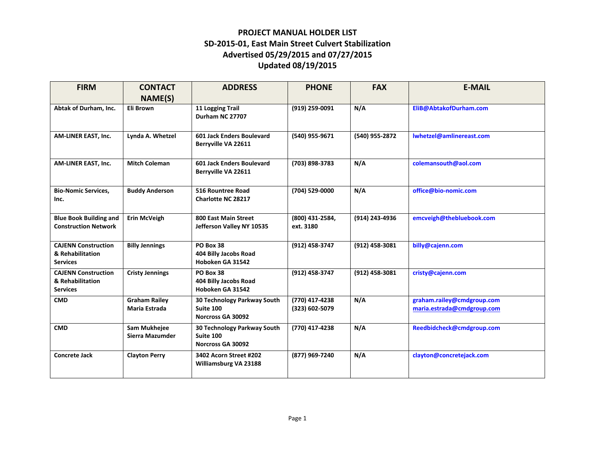| <b>FIRM</b>                                                       | <b>CONTACT</b>                        | <b>ADDRESS</b>                                                | <b>PHONE</b>                     | <b>FAX</b>     | <b>E-MAIL</b>                                            |
|-------------------------------------------------------------------|---------------------------------------|---------------------------------------------------------------|----------------------------------|----------------|----------------------------------------------------------|
|                                                                   | NAME(S)                               |                                                               |                                  |                |                                                          |
| Abtak of Durham, Inc.                                             | Eli Brown                             | 11 Logging Trail<br>Durham NC 27707                           | (919) 259-0091                   | N/A            | EliB@AbtakofDurham.com                                   |
| AM-LINER EAST, Inc.                                               | Lynda A. Whetzel                      | 601 Jack Enders Boulevard<br>Berryville VA 22611              | (540) 955-9671                   | (540) 955-2872 | Iwhetzel@amlinereast.com                                 |
| AM-LINER EAST, Inc.                                               | <b>Mitch Coleman</b>                  | 601 Jack Enders Boulevard<br>Berryville VA 22611              | (703) 898-3783                   | N/A            | colemansouth@aol.com                                     |
| <b>Bio-Nomic Services,</b><br>Inc.                                | <b>Buddy Anderson</b>                 | 516 Rountree Road<br><b>Charlotte NC 28217</b>                | (704) 529-0000                   | N/A            | office@bio-nomic.com                                     |
| <b>Blue Book Building and</b><br><b>Construction Network</b>      | <b>Erin McVeigh</b>                   | 800 East Main Street<br>Jefferson Valley NY 10535             | (800) 431-2584,<br>ext. 3180     | (914) 243-4936 | emcveigh@thebluebook.com                                 |
| <b>CAJENN Construction</b><br>& Rehabilitation<br><b>Services</b> | <b>Billy Jennings</b>                 | PO Box 38<br>404 Billy Jacobs Road<br>Hoboken GA 31542        | (912) 458-3747                   | (912) 458-3081 | billy@cajenn.com                                         |
| <b>CAJENN Construction</b><br>& Rehabilitation<br><b>Services</b> | <b>Cristy Jennings</b>                | PO Box 38<br>404 Billy Jacobs Road<br>Hoboken GA 31542        | (912) 458-3747                   | (912) 458-3081 | cristy@cajenn.com                                        |
| <b>CMD</b>                                                        | <b>Graham Railey</b><br>Maria Estrada | 30 Technology Parkway South<br>Suite 100<br>Norcross GA 30092 | (770) 417-4238<br>(323) 602-5079 | N/A            | graham.railey@cmdgroup.com<br>maria.estrada@cmdgroup.com |
| <b>CMD</b>                                                        | Sam Mukhejee<br>Sierra Mazumder       | 30 Technology Parkway South<br>Suite 100<br>Norcross GA 30092 | (770) 417-4238                   | N/A            | Reedbidcheck@cmdgroup.com                                |
| <b>Concrete Jack</b>                                              | <b>Clayton Perry</b>                  | 3402 Acorn Street #202<br>Williamsburg VA 23188               | (877) 969-7240                   | N/A            | clayton@concretejack.com                                 |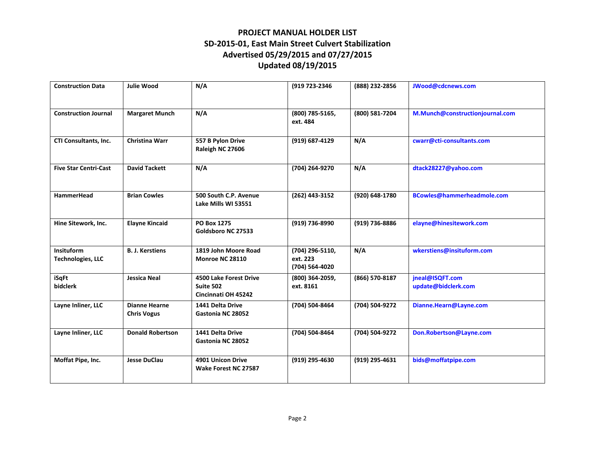| <b>Construction Data</b>                      | <b>Julie Wood</b>                          | N/A                                                               | (919 723-2346                                 | (888) 232-2856 | JWood@cdcnews.com                      |
|-----------------------------------------------|--------------------------------------------|-------------------------------------------------------------------|-----------------------------------------------|----------------|----------------------------------------|
| <b>Construction Journal</b>                   | <b>Margaret Munch</b>                      | N/A                                                               | (800) 785-5165,<br>ext. 484                   | (800) 581-7204 | M.Munch@constructionjournal.com        |
| CTI Consultants, Inc.                         | <b>Christina Warr</b>                      | 557 B Pylon Drive<br>Raleigh NC 27606                             | (919) 687-4129                                | N/A            | cwarr@cti-consultants.com              |
| <b>Five Star Centri-Cast</b>                  | <b>David Tackett</b>                       | N/A                                                               | (704) 264-9270                                | N/A            | dtack28227@yahoo.com                   |
| <b>HammerHead</b>                             | <b>Brian Cowles</b>                        | 500 South C.P. Avenue<br>Lake Mills WI 53551                      | (262) 443-3152                                | (920) 648-1780 | BCowles@hammerheadmole.com             |
| Hine Sitework, Inc.                           | <b>Elayne Kincaid</b>                      | <b>PO Box 1275</b><br>Goldsboro NC 27533                          | (919) 736-8990                                | (919) 736-8886 | elayne@hinesitework.com                |
| <b>Insituform</b><br><b>Technologies, LLC</b> | <b>B. J. Kerstiens</b>                     | 1819 John Moore Road<br>Monroe NC 28110                           | (704) 296-5110,<br>ext. 223<br>(704) 564-4020 | N/A            | wkerstiens@insituform.com              |
| iSqFt<br>bidclerk                             | <b>Jessica Neal</b>                        | <b>4500 Lake Forest Drive</b><br>Suite 502<br>Cincinnati OH 45242 | (800) 364-2059,<br>ext. 8161                  | (866) 570-8187 | jneal@ISQFT.com<br>update@bidclerk.com |
| Layne Inliner, LLC                            | <b>Dianne Hearne</b><br><b>Chris Vogus</b> | 1441 Delta Drive<br>Gastonia NC 28052                             | (704) 504-8464                                | (704) 504-9272 | Dianne.Hearn@Layne.com                 |
| Layne Inliner, LLC                            | <b>Donald Robertson</b>                    | 1441 Delta Drive<br>Gastonia NC 28052                             | (704) 504-8464                                | (704) 504-9272 | Don.Robertson@Layne.com                |
| Moffat Pipe, Inc.                             | <b>Jesse DuClau</b>                        | 4901 Unicon Drive<br>Wake Forest NC 27587                         | (919) 295-4630                                | (919) 295-4631 | bids@moffatpipe.com                    |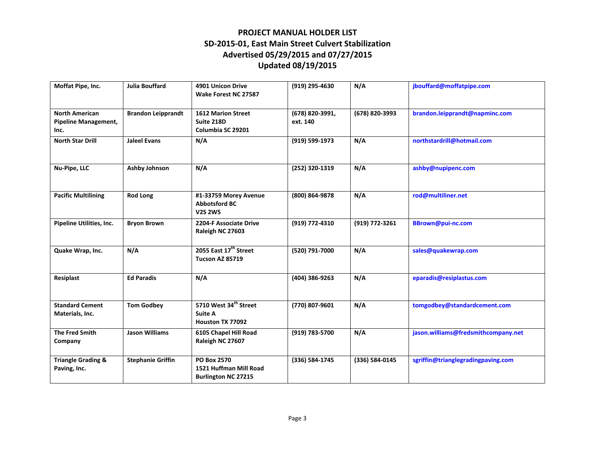| Moffat Pipe, Inc.                                            | <b>Julia Bouffard</b>     | 4901 Unicon Drive<br>Wake Forest NC 27587                                  | (919) 295-4630              | N/A            | jbouffard@moffatpipe.com            |
|--------------------------------------------------------------|---------------------------|----------------------------------------------------------------------------|-----------------------------|----------------|-------------------------------------|
| <b>North American</b><br><b>Pipeline Management,</b><br>Inc. | <b>Brandon Leipprandt</b> | <b>1612 Marion Street</b><br>Suite 218D<br>Columbia SC 29201               | (678) 820-3991,<br>ext. 140 | (678) 820-3993 | brandon.leipprandt@napminc.com      |
| <b>North Star Drill</b>                                      | <b>Jaleel Evans</b>       | N/A                                                                        | (919) 599-1973              | N/A            | northstardrill@hotmail.com          |
| Nu-Pipe, LLC                                                 | <b>Ashby Johnson</b>      | N/A                                                                        | (252) 320-1319              | N/A            | ashby@nupipenc.com                  |
| <b>Pacific Multilining</b>                                   | <b>Rod Long</b>           | #1-33759 Morey Avenue<br><b>Abbotsford BC</b><br><b>V2S 2W5</b>            | (800) 864-9878              | N/A            | rod@multiliner.net                  |
| Pipeline Utilities, Inc.                                     | <b>Bryon Brown</b>        | 2204-F Associate Drive<br>Raleigh NC 27603                                 | (919) 772-4310              | (919) 772-3261 | BBrown@pui-nc.com                   |
| Quake Wrap, Inc.                                             | N/A                       | 2055 East 17 <sup>th</sup> Street<br><b>Tucson AZ 85719</b>                | (520) 791-7000              | N/A            | sales@quakewrap.com                 |
| Resiplast                                                    | <b>Ed Paradis</b>         | N/A                                                                        | (404) 386-9263              | N/A            | eparadis@resiplastus.com            |
| <b>Standard Cement</b><br>Materials, Inc.                    | <b>Tom Godbey</b>         | 5710 West 34 <sup>th</sup> Street<br><b>Suite A</b><br>Houston TX 77092    | (770) 807-9601              | N/A            | tomgodbey@standardcement.com        |
| The Fred Smith<br>Company                                    | <b>Jason Williams</b>     | 6105 Chapel Hill Road<br>Raleigh NC 27607                                  | (919) 783-5700              | N/A            | jason.williams@fredsmithcompany.net |
| <b>Triangle Grading &amp;</b><br>Paving, Inc.                | <b>Stephanie Griffin</b>  | <b>PO Box 2570</b><br>1521 Huffman Mill Road<br><b>Burlington NC 27215</b> | (336) 584-1745              | (336) 584-0145 | sgriffin@trianglegradingpaving.com  |